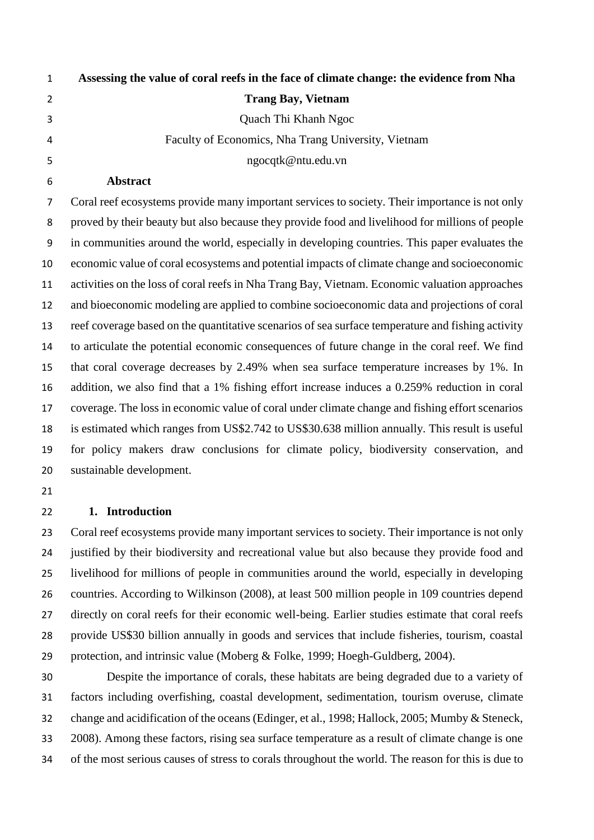| $\mathbf{1}$   | Assessing the value of coral reefs in the face of climate change: the evidence from Nha        |
|----------------|------------------------------------------------------------------------------------------------|
| 2              | <b>Trang Bay, Vietnam</b>                                                                      |
| 3              | Quach Thi Khanh Ngoc                                                                           |
| 4              | Faculty of Economics, Nha Trang University, Vietnam                                            |
| 5              | ngocqtk@ntu.edu.vn                                                                             |
| 6              | <b>Abstract</b>                                                                                |
| $\overline{7}$ | Coral reef ecosystems provide many important services to society. Their importance is not only |
|                |                                                                                                |

 proved by their beauty but also because they provide food and livelihood for millions of people in communities around the world, especially in developing countries. This paper evaluates the economic value of coral ecosystems and potential impacts of climate change and socioeconomic activities on the loss of coral reefs in Nha Trang Bay, Vietnam. Economic valuation approaches and bioeconomic modeling are applied to combine socioeconomic data and projections of coral reef coverage based on the quantitative scenarios of sea surface temperature and fishing activity to articulate the potential economic consequences of future change in the coral reef. We find that coral coverage decreases by 2.49% when sea surface temperature increases by 1%. In addition, we also find that a 1% fishing effort increase induces a 0.259% reduction in coral coverage. The loss in economic value of coral under climate change and fishing effort scenarios is estimated which ranges from US\$2.742 to US\$30.638 million annually. This result is useful for policy makers draw conclusions for climate policy, biodiversity conservation, and sustainable development.

#### **1. Introduction**

 Coral reef ecosystems provide many important services to society. Their importance is not only justified by their biodiversity and recreational value but also because they provide food and livelihood for millions of people in communities around the world, especially in developing countries. According to Wilkinson (2008), at least 500 million people in 109 countries depend directly on coral reefs for their economic well-being. Earlier studies estimate that coral reefs provide US\$30 billion annually in goods and services that include fisheries, tourism, coastal protection, and intrinsic value (Moberg & Folke, 1999; Hoegh-Guldberg, 2004).

 Despite the importance of corals, these habitats are being degraded due to a variety of factors including overfishing, coastal development, sedimentation, tourism overuse, climate change and acidification of the oceans (Edinger, et al., 1998; Hallock, 2005; Mumby & Steneck, 2008). Among these factors, rising sea surface temperature as a result of climate change is one of the most serious causes of stress to corals throughout the world. The reason for this is due to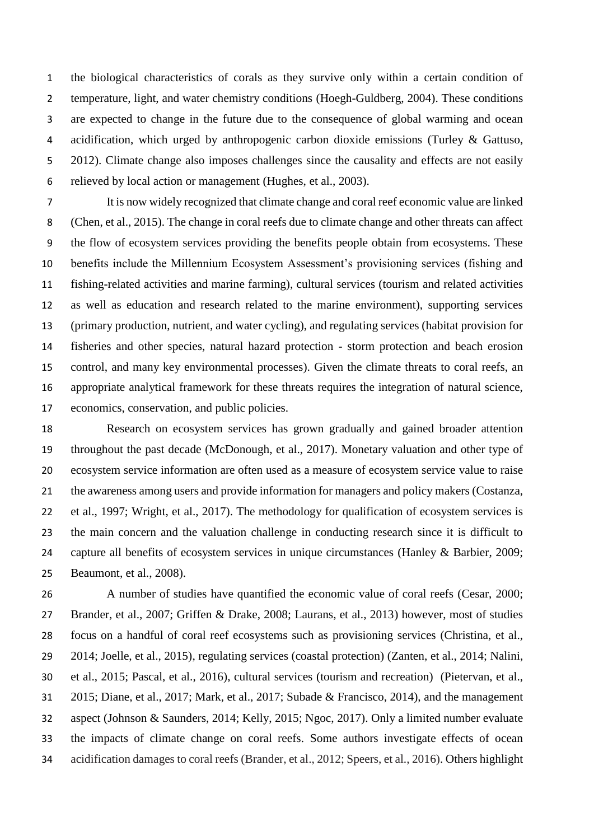the biological characteristics of corals as they survive only within a certain condition of temperature, light, and water chemistry conditions (Hoegh-Guldberg, 2004). These conditions are expected to change in the future due to the consequence of global warming and ocean acidification, which urged by anthropogenic carbon dioxide emissions (Turley & Gattuso, 5 2012). Climate change also imposes challenges since the causality and effects are not easily relieved by local action or management (Hughes, et al., 2003).

 It is now widely recognized that climate change and coral reef economic value are linked (Chen, et al., 2015). The change in coral reefs due to climate change and other threats can affect the flow of ecosystem services providing the benefits people obtain from ecosystems. These benefits include the Millennium Ecosystem Assessment's provisioning services (fishing and fishing-related activities and marine farming), cultural services (tourism and related activities as well as education and research related to the marine environment), supporting services (primary production, nutrient, and water cycling), and regulating services (habitat provision for fisheries and other species, natural hazard protection - storm protection and beach erosion control, and many key environmental processes). Given the climate threats to coral reefs, an appropriate analytical framework for these threats requires the integration of natural science, economics, conservation, and public policies.

 Research on ecosystem services has grown gradually and gained broader attention throughout the past decade (McDonough, et al., 2017). Monetary valuation and other type of ecosystem service information are often used as a measure of ecosystem service value to raise the awareness among users and provide information for managers and policy makers (Costanza, et al., 1997; Wright, et al., 2017). The methodology for qualification of ecosystem services is the main concern and the valuation challenge in conducting research since it is difficult to capture all benefits of ecosystem services in unique circumstances (Hanley & Barbier, 2009; Beaumont, et al., 2008).

 A number of studies have quantified the economic value of coral reefs (Cesar, 2000; Brander, et al., 2007; Griffen & Drake, 2008; Laurans, et al., 2013) however, most of studies focus on a handful of coral reef ecosystems such as provisioning services (Christina, et al., 2014; Joelle, et al., 2015), regulating services (coastal protection) (Zanten, et al., 2014; Nalini, et al., 2015; Pascal, et al., 2016), cultural services (tourism and recreation) (Pietervan, et al., 2015; Diane, et al., 2017; Mark, et al., 2017; Subade & Francisco, 2014), and the management aspect (Johnson & Saunders, 2014; Kelly, 2015; Ngoc, 2017). Only a limited number evaluate the impacts of climate change on coral reefs. Some authors investigate effects of ocean acidification damages to coral reefs (Brander, et al., 2012; Speers, et al., 2016). Others highlight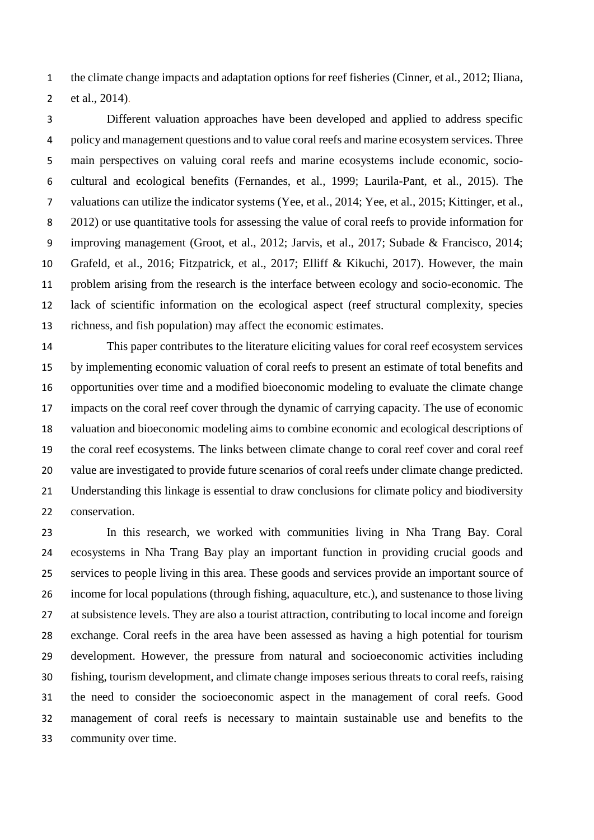the climate change impacts and adaptation options for reef fisheries (Cinner, et al., 2012; Iliana, et al., 2014).

 Different valuation approaches have been developed and applied to address specific policy and management questions and to value coral reefs and marine ecosystem services. Three main perspectives on valuing coral reefs and marine ecosystems include economic, socio- cultural and ecological benefits (Fernandes, et al., 1999; Laurila-Pant, et al., 2015). The valuations can utilize the indicator systems (Yee, et al., 2014; Yee, et al., 2015; Kittinger, et al., 2012) or use quantitative tools for assessing the value of coral reefs to provide information for improving management (Groot, et al., 2012; Jarvis, et al., 2017; Subade & Francisco, 2014; Grafeld, et al., 2016; Fitzpatrick, et al., 2017; Elliff & Kikuchi, 2017). However, the main problem arising from the research is the interface between ecology and socio-economic. The lack of scientific information on the ecological aspect (reef structural complexity, species richness, and fish population) may affect the economic estimates.

 This paper contributes to the literature eliciting values for coral reef ecosystem services by implementing economic valuation of coral reefs to present an estimate of total benefits and opportunities over time and a modified bioeconomic modeling to evaluate the climate change impacts on the coral reef cover through the dynamic of carrying capacity. The use of economic valuation and bioeconomic modeling aims to combine economic and ecological descriptions of the coral reef ecosystems. The links between climate change to coral reef cover and coral reef value are investigated to provide future scenarios of coral reefs under climate change predicted. Understanding this linkage is essential to draw conclusions for climate policy and biodiversity conservation.

 In this research, we worked with communities living in Nha Trang Bay. Coral ecosystems in Nha Trang Bay play an important function in providing crucial goods and services to people living in this area. These goods and services provide an important source of income for local populations (through fishing, aquaculture, etc.), and sustenance to those living at subsistence levels. They are also a tourist attraction, contributing to local income and foreign exchange. Coral reefs in the area have been assessed as having a high potential for tourism development. However, the pressure from natural and socioeconomic activities including fishing, tourism development, and climate change imposes serious threats to coral reefs, raising the need to consider the socioeconomic aspect in the management of coral reefs. Good management of coral reefs is necessary to maintain sustainable use and benefits to the community over time.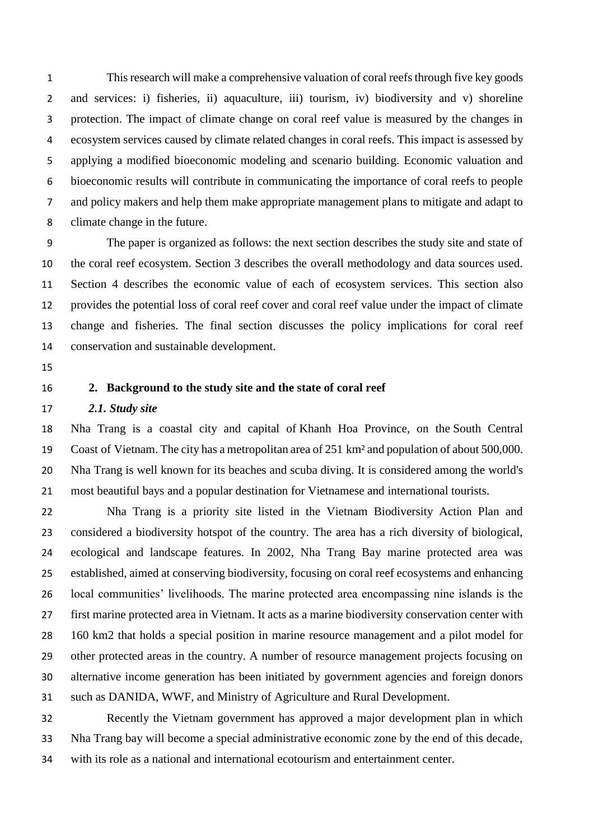This research will make a comprehensive valuation of coral reefs through five key goods and services: i) fisheries, ii) aquaculture, iii) tourism, iv) biodiversity and v) shoreline protection. The impact of climate change on coral reef value is measured by the changes in ecosystem services caused by climate related changes in coral reefs. This impact is assessed by applying a modified bioeconomic modeling and scenario building. Economic valuation and bioeconomic results will contribute in communicating the importance of coral reefs to people and policy makers and help them make appropriate management plans to mitigate and adapt to climate change in the future.

 The paper is organized as follows: the next section describes the study site and state of the coral reef ecosystem. Section 3 describes the overall methodology and data sources used. Section 4 describes the economic value of each of ecosystem services. This section also provides the potential loss of coral reef cover and coral reef value under the impact of climate change and fisheries. The final section discusses the policy implications for coral reef conservation and sustainable development.

- 
- 

## **2. Background to the study site and the state of coral reef**

### *2.1. Study site*

 Nha Trang is a coastal city and capital of [Khanh Hoa Province,](https://en.wikipedia.org/wiki/Kh%C3%A1nh_H%C3%B2a_Province) on the [South Central](https://en.wikipedia.org/wiki/South_Central_Coast)  [Coast](https://en.wikipedia.org/wiki/South_Central_Coast) of [Vietnam.](https://en.wikipedia.org/wiki/Vietnam) The city has a metropolitan area of 251 km² and population of about 500,000. Nha Trang is well known for its beaches and [scuba diving.](https://en.wikipedia.org/wiki/Scuba_diving) It is considered among the world's most beautiful bays and a popular destination for Vietnamese and international tourists.

 Nha Trang is a priority site listed in the Vietnam Biodiversity Action Plan and considered a biodiversity hotspot of the country. The area has a rich diversity of biological, ecological and landscape features. In 2002, Nha Trang Bay marine protected area was established, aimed at conserving biodiversity, focusing on coral reef ecosystems and enhancing local communities' livelihoods. The marine protected area encompassing nine islands is the first marine protected area in Vietnam. It acts as a marine biodiversity conservation center with 160 km2 that holds a special position in marine resource management and a pilot model for other protected areas in the country. A number of resource management projects focusing on alternative income generation has been initiated by government agencies and foreign donors such as DANIDA, WWF, and Ministry of Agriculture and Rural Development.

 Recently the Vietnam government has approved a major development plan in which Nha Trang bay will become a special administrative economic zone by the end of this decade, with its role as a national and international ecotourism and entertainment center.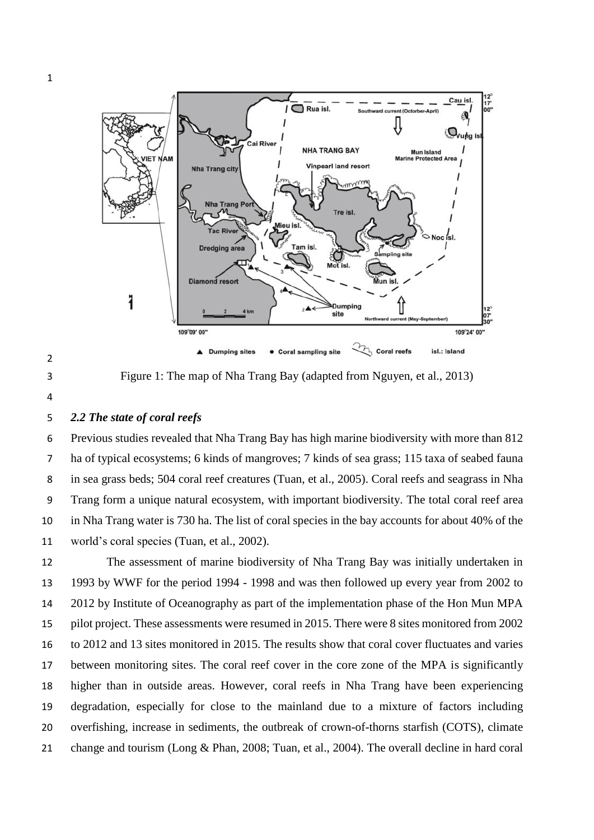

Figure 1: The map of Nha Trang Bay (adapted from Nguyen, et al., 2013)

#### *2.2 The state of coral reefs*

 Previous studies revealed that Nha Trang Bay has high marine biodiversity with more than 812 ha of typical ecosystems; 6 kinds of mangroves; 7 kinds of sea grass; 115 taxa of seabed fauna in sea grass beds; 504 coral reef creatures (Tuan, et al., 2005). Coral reefs and seagrass in Nha Trang form a unique natural ecosystem, with important biodiversity. The total coral reef area in Nha Trang water is 730 ha. The list of coral species in the bay accounts for about 40% of the world's coral species (Tuan, et al., 2002).

 The assessment of marine biodiversity of Nha Trang Bay was initially undertaken in 1993 by WWF for the period 1994 - 1998 and was then followed up every year from 2002 to 2012 by Institute of Oceanography as part of the implementation phase of the Hon Mun MPA pilot project. These assessments were resumed in 2015. There were 8 sites monitored from 2002 to 2012 and 13 sites monitored in 2015. The results show that coral cover fluctuates and varies between monitoring sites. The coral reef cover in the core zone of the MPA is significantly higher than in outside areas. However, coral reefs in Nha Trang have been experiencing degradation, especially for close to the mainland due to a mixture of factors including overfishing, increase in sediments, the outbreak of crown-of-thorns starfish (COTS), climate change and tourism (Long & Phan, 2008; Tuan, et al., 2004). The overall decline in hard coral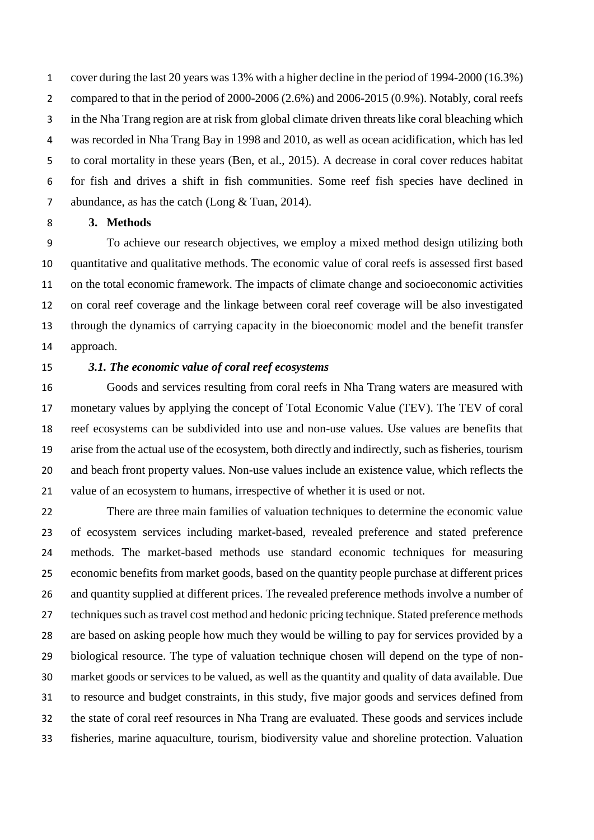cover during the last 20 years was 13% with a higher decline in the period of 1994-2000 (16.3%) compared to that in the period of 2000-2006 (2.6%) and 2006-2015 (0.9%). Notably, coral reefs in the Nha Trang region are at risk from global climate driven threats like coral bleaching which was recorded in Nha Trang Bay in 1998 and 2010, as well as ocean acidification, which has led to coral mortality in these years (Ben, et al., 2015). A decrease in coral cover reduces habitat for fish and drives a shift in fish communities. Some reef fish species have declined in abundance, as has the catch (Long & Tuan, 2014).

**3. Methods** 

 To achieve our research objectives, we employ a mixed method design utilizing both quantitative and qualitative methods. The economic value of coral reefs is assessed first based on the total economic framework. The impacts of climate change and socioeconomic activities on coral reef coverage and the linkage between coral reef coverage will be also investigated through the dynamics of carrying capacity in the bioeconomic model and the benefit transfer approach.

#### *3.1. The economic value of coral reef ecosystems*

 Goods and services resulting from coral reefs in Nha Trang waters are measured with monetary values by applying the concept of Total Economic Value (TEV). The TEV of coral reef ecosystems can be subdivided into use and non-use values. Use values are benefits that arise from the actual use of the ecosystem, both directly and indirectly, such as fisheries, tourism and beach front property values. Non-use values include an existence value, which reflects the value of an ecosystem to humans, irrespective of whether it is used or not.

 There are three main families of valuation techniques to determine the economic value of ecosystem services including market-based, revealed preference and stated preference methods. The market-based methods use standard economic techniques for measuring economic benefits from market goods, based on the quantity people purchase at different prices and quantity supplied at different prices. The revealed preference methods involve a number of techniques such as travel cost method and hedonic pricing technique. Stated preference methods are based on asking people how much they would be willing to pay for services provided by a biological resource. The type of valuation technique chosen will depend on the type of non- market goods or services to be valued, as well as the quantity and quality of data available. Due to resource and budget constraints, in this study, five major goods and services defined from the state of coral reef resources in Nha Trang are evaluated. These goods and services include fisheries, marine aquaculture, tourism, biodiversity value and shoreline protection. Valuation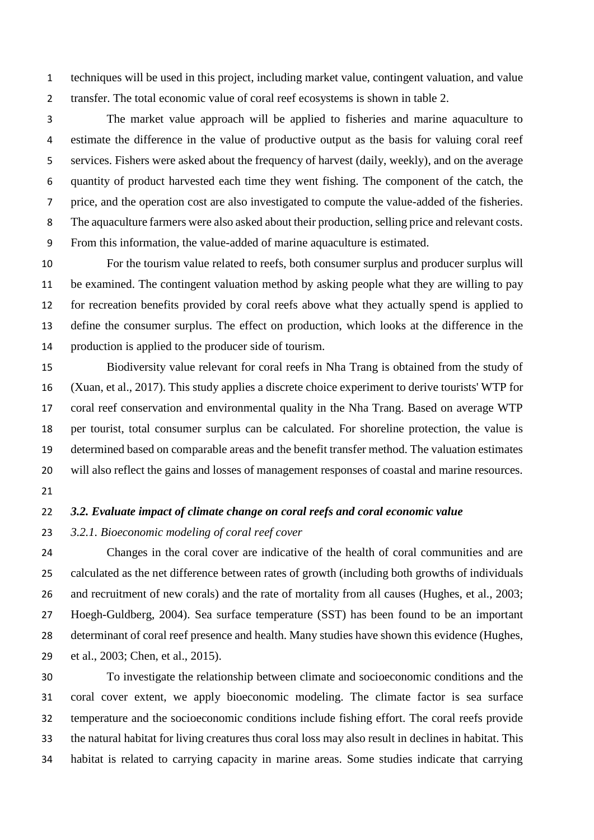techniques will be used in this project, including market value, contingent valuation, and value transfer. The total economic value of coral reef ecosystems is shown in table 2.

 The market value approach will be applied to fisheries and marine aquaculture to estimate the difference in the value of productive output as the basis for valuing coral reef services. Fishers were asked about the frequency of harvest (daily, weekly), and on the average quantity of product harvested each time they went fishing. The component of the catch, the price, and the operation cost are also investigated to compute the value-added of the fisheries. The aquaculture farmers were also asked about their production, selling price and relevant costs. From this information, the value-added of marine aquaculture is estimated.

 For the tourism value related to reefs, both consumer surplus and producer surplus will be examined. The contingent valuation method by asking people what they are willing to pay for recreation benefits provided by coral reefs above what they actually spend is applied to define the consumer surplus. The effect on production, which looks at the difference in the production is applied to the producer side of tourism.

 Biodiversity value relevant for coral reefs in Nha Trang is obtained from the study of (Xuan, et al., 2017). This study applies a discrete choice experiment to derive tourists' WTP for coral reef conservation and environmental quality in the Nha Trang. Based on average WTP per tourist, total consumer surplus can be calculated. For shoreline protection, the value is determined based on comparable areas and the benefit transfer method. The valuation estimates will also reflect the gains and losses of management responses of coastal and marine resources.

#### *3.2. Evaluate impact of climate change on coral reefs and coral economic value*

*3.2.1. Bioeconomic modeling of coral reef cover* 

 Changes in the coral cover are indicative of the health of coral communities and are calculated as the net difference between rates of growth (including both growths of individuals 26 and recruitment of new corals) and the rate of mortality from all causes (Hughes, et al., 2003; Hoegh-Guldberg, 2004). Sea surface temperature (SST) has been found to be an important determinant of coral reef presence and health. Many studies have shown this evidence (Hughes, et al., 2003; Chen, et al., 2015).

 To investigate the relationship between climate and socioeconomic conditions and the coral cover extent, we apply bioeconomic modeling. The climate factor is sea surface temperature and the socioeconomic conditions include fishing effort. The coral reefs provide the natural habitat for living creatures thus coral loss may also result in declines in habitat. This habitat is related to carrying capacity in marine areas. Some studies indicate that carrying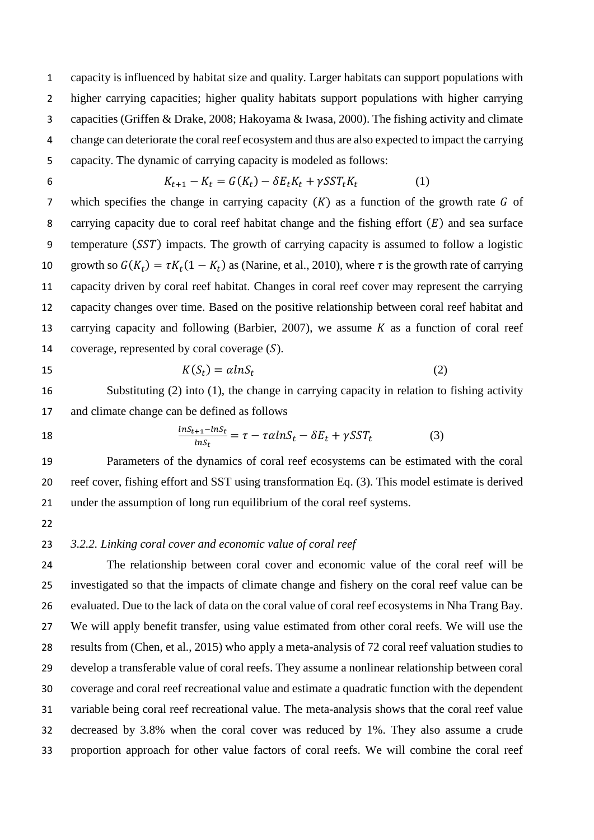capacity is influenced by habitat size and quality. Larger habitats can support populations with higher carrying capacities; higher quality habitats support populations with higher carrying capacities (Griffen & Drake, 2008; Hakoyama & Iwasa, 2000). The fishing activity and climate change can deteriorate the coral reef ecosystem and thus are also expected to impact the carrying capacity. The dynamic of carrying capacity is modeled as follows:

$$
K_{t+1} - K_t = G(K_t) - \delta E_t K_t + \gamma S S T_t K_t \tag{1}
$$

7 which specifies the change in carrying capacity  $(K)$  as a function of the growth rate G of 8 carrying capacity due to coral reef habitat change and the fishing effort  $(E)$  and sea surface 9 temperature (SST) impacts. The growth of carrying capacity is assumed to follow a logistic 10 growth so  $G(K_t) = \tau K_t (1 - K_t)$  as (Narine, et al., 2010), where  $\tau$  is the growth rate of carrying capacity driven by coral reef habitat. Changes in coral reef cover may represent the carrying capacity changes over time. Based on the positive relationship between coral reef habitat and 13 carrying capacity and following (Barbier, 2007), we assume  $K$  as a function of coral reef 14 coverage, represented by coral coverage  $(S)$ .

$$
K(S_t) = \alpha ln S_t \tag{2}
$$

16 Substituting (2) into (1), the change in carrying capacity in relation to fishing activity and climate change can be defined as follows

$$
18\phantom{0}
$$

18 
$$
\frac{lnS_{t+1}-lnS_t}{lnS_t} = \tau - \tau \alpha lnS_t - \delta E_t + \gamma SST_t
$$
 (3)

 Parameters of the dynamics of coral reef ecosystems can be estimated with the coral reef cover, fishing effort and SST using transformation Eq. (3). This model estimate is derived under the assumption of long run equilibrium of the coral reef systems.

# *3.2.2. Linking coral cover and economic value of coral reef*

 The relationship between coral cover and economic value of the coral reef will be investigated so that the impacts of climate change and fishery on the coral reef value can be evaluated. Due to the lack of data on the coral value of coral reef ecosystems in Nha Trang Bay. We will apply benefit transfer, using value estimated from other coral reefs. We will use the results from (Chen, et al., 2015) who apply a meta-analysis of 72 coral reef valuation studies to develop a transferable value of coral reefs. They assume a nonlinear relationship between coral coverage and coral reef recreational value and estimate a quadratic function with the dependent variable being coral reef recreational value. The meta-analysis shows that the coral reef value decreased by 3.8% when the coral cover was reduced by 1%. They also assume a crude proportion approach for other value factors of coral reefs. We will combine the coral reef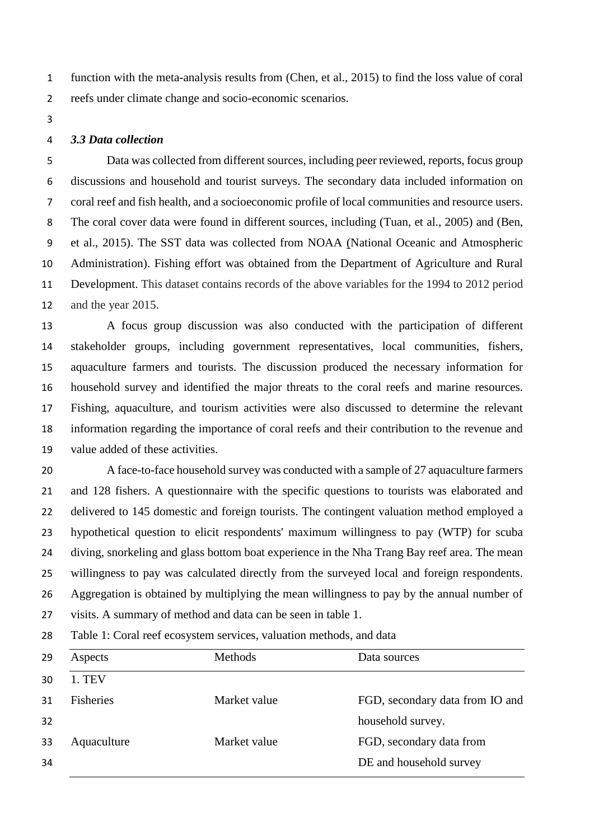function with the meta-analysis results from (Chen, et al., 2015) to find the loss value of coral reefs under climate change and socio-economic scenarios.

## *3.3 Data collection*

 Data was collected from different sources, including peer reviewed, reports, focus group discussions and household and tourist surveys. The secondary data included information on coral reef and fish health, and a socioeconomic profile of local communities and resource users. The coral cover data were found in different sources, including (Tuan, et al., 2005) and (Ben, et al., 2015). The SST data was collected from NOAA [\(National Oceanic and Atmospheric](http://www.noaa.gov/)  [Administration\)](http://www.noaa.gov/). Fishing effort was obtained from the Department of Agriculture and Rural Development. This dataset contains records of the above variables for the 1994 to 2012 period and the year 2015.

 A focus group discussion was also conducted with the participation of different stakeholder groups, including government representatives, local communities, fishers, aquaculture farmers and tourists. The discussion produced the necessary information for household survey and identified the major threats to the coral reefs and marine resources. Fishing, aquaculture, and tourism activities were also discussed to determine the relevant information regarding the importance of coral reefs and their contribution to the revenue and value added of these activities.

 A face-to-face household survey was conducted with a sample of 27 aquaculture farmers and 128 fishers. A questionnaire with the specific questions to tourists was elaborated and delivered to 145 domestic and foreign tourists. The contingent valuation method employed a hypothetical question to elicit respondents' maximum willingness to pay (WTP) for scuba diving, snorkeling and glass bottom boat experience in the Nha Trang Bay reef area. The mean willingness to pay was calculated directly from the surveyed local and foreign respondents. Aggregation is obtained by multiplying the mean willingness to pay by the annual number of visits. A summary of method and data can be seen in table 1.

Table 1: Coral reef ecosystem services, valuation methods, and data

| 29 | Aspects          | Methods      | Data sources                    |
|----|------------------|--------------|---------------------------------|
| 30 | 1. TEV           |              |                                 |
| 31 | <b>Fisheries</b> | Market value | FGD, secondary data from IO and |
| 32 |                  |              | household survey.               |
| 33 | Aquaculture      | Market value | FGD, secondary data from        |
| 34 |                  |              | DE and household survey         |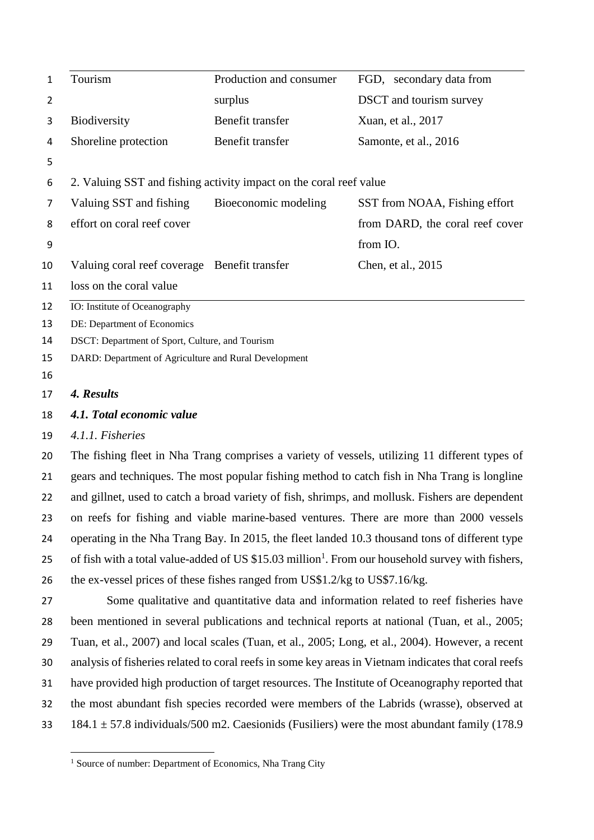| 1  | Tourism                                               | Production and consumer                                            | FGD, secondary data from        |
|----|-------------------------------------------------------|--------------------------------------------------------------------|---------------------------------|
| 2  |                                                       | surplus                                                            | <b>DSCT</b> and tourism survey  |
| 3  | Biodiversity                                          | Benefit transfer                                                   | Xuan, et al., 2017              |
| 4  | Shoreline protection                                  | Benefit transfer                                                   | Samonte, et al., 2016           |
| 5  |                                                       |                                                                    |                                 |
| 6  |                                                       | 2. Valuing SST and fishing activity impact on the coral reef value |                                 |
| 7  | Valuing SST and fishing                               | Bioeconomic modeling                                               | SST from NOAA, Fishing effort   |
| 8  | effort on coral reef cover                            |                                                                    | from DARD, the coral reef cover |
| 9  |                                                       |                                                                    | from IO.                        |
| 10 | Valuing coral reef coverage Benefit transfer          |                                                                    | Chen, et al., 2015              |
| 11 | loss on the coral value                               |                                                                    |                                 |
| 12 | IO: Institute of Oceanography                         |                                                                    |                                 |
| 13 | DE: Department of Economics                           |                                                                    |                                 |
| 14 | DSCT: Department of Sport, Culture, and Tourism       |                                                                    |                                 |
| 15 | DARD: Department of Agriculture and Rural Development |                                                                    |                                 |

#### *4. Results*

 $\overline{\phantom{a}}$ 

### *4.1. Total economic value*

## *4.1.1. Fisheries*

 The fishing fleet in Nha Trang comprises a variety of vessels, utilizing 11 different types of gears and techniques. The most popular fishing method to catch fish in Nha Trang is longline and gillnet, used to catch a broad variety of fish, shrimps, and mollusk. Fishers are dependent on reefs for fishing and viable marine-based ventures. There are more than 2000 vessels operating in the Nha Trang Bay. In 2015, the fleet landed 10.3 thousand tons of different type 25 of fish with a total value-added of US  $$15.03$  million<sup>1</sup>. From our household survey with fishers, the ex-vessel prices of these fishes ranged from US\$1.2/kg to US\$7.16/kg.

 Some qualitative and quantitative data and information related to reef fisheries have been mentioned in several publications and technical reports at national (Tuan, et al., 2005; Tuan, et al., 2007) and local scales (Tuan, et al., 2005; Long, et al., 2004). However, a recent analysis of fisheries related to coral reefs in some key areas in Vietnam indicates that coral reefs have provided high production of target resources. The Institute of Oceanography reported that the most abundant fish species recorded were members of the Labrids (wrasse), observed at 33 184.1  $\pm$  57.8 individuals/500 m2. Caesionids (Fusiliers) were the most abundant family (178.9

<sup>&</sup>lt;sup>1</sup> Source of number: Department of Economics, Nha Trang City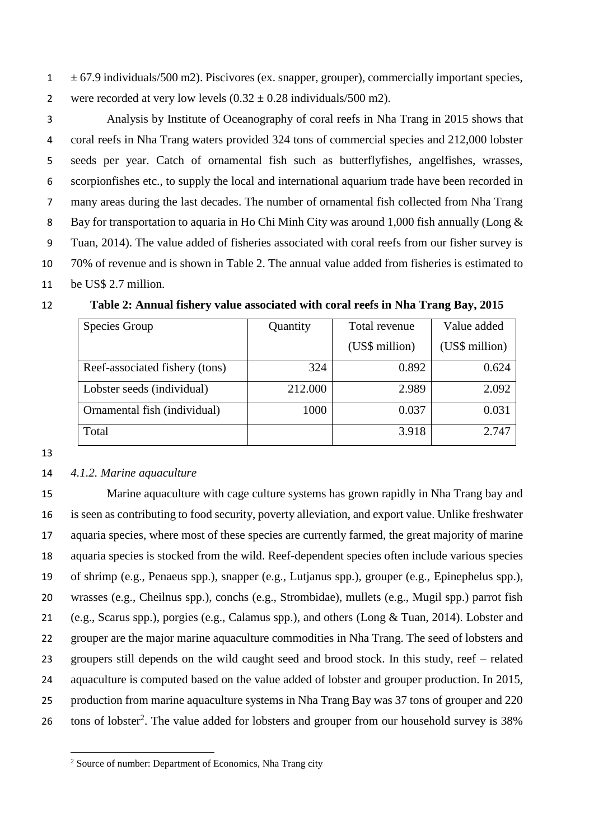$1 \pm 67.9$  individuals/500 m2). Piscivores (ex. snapper, grouper), commercially important species, 2 were recorded at very low levels  $(0.32 \pm 0.28 \text{ individuals}/500 \text{ m2})$ .

 Analysis by Institute of Oceanography of coral reefs in Nha Trang in 2015 shows that coral reefs in Nha Trang waters provided 324 tons of commercial species and 212,000 lobster seeds per year. Catch of ornamental fish such as butterflyfishes, angelfishes, wrasses, scorpionfishes etc., to supply the local and international aquarium trade have been recorded in many areas during the last decades. The number of ornamental fish collected from Nha Trang 8 Bay for transportation to aquaria in Ho Chi Minh City was around 1,000 fish annually (Long & Tuan, 2014). The value added of fisheries associated with coral reefs from our fisher survey is 70% of revenue and is shown in Table 2. The annual value added from fisheries is estimated to be US\$ 2.7 million.

| Species Group                  | Quantity | Total revenue  | Value added    |  |
|--------------------------------|----------|----------------|----------------|--|
|                                |          | (US\$ million) | (US\$ million) |  |
| Reef-associated fishery (tons) | 324      | 0.892          | 0.624          |  |
| Lobster seeds (individual)     | 212.000  | 2.989          | 2.092          |  |
| Ornamental fish (individual)   | 1000     | 0.037          | 0.031          |  |
| Total                          |          | 3.918          | 2.747          |  |

# **Table 2: Annual fishery value associated with coral reefs in Nha Trang Bay, 2015**

 $\overline{\phantom{a}}$ 

#### *4.1.2. Marine aquaculture*

 Marine aquaculture with cage culture systems has grown rapidly in Nha Trang bay and is seen as contributing to food security, poverty alleviation, and export value. Unlike freshwater aquaria species, where most of these species are currently farmed, the great majority of marine aquaria species is stocked from the wild. Reef-dependent species often include various species of shrimp (e.g., Penaeus spp.), snapper (e.g., Lutjanus spp.), grouper (e.g., Epinephelus spp.), wrasses (e.g., Cheilnus spp.), conchs (e.g., Strombidae), mullets (e.g., Mugil spp.) parrot fish (e.g., Scarus spp.), porgies (e.g., Calamus spp.), and others (Long & Tuan, 2014). Lobster and grouper are the major marine aquaculture commodities in Nha Trang. The seed of lobsters and groupers still depends on the wild caught seed and brood stock. In this study, reef – related aquaculture is computed based on the value added of lobster and grouper production. In 2015, production from marine aquaculture systems in Nha Trang Bay was 37 tons of grouper and 220 26 tons of lobster<sup>2</sup>. The value added for lobsters and grouper from our household survey is 38%

Source of number: Department of Economics, Nha Trang city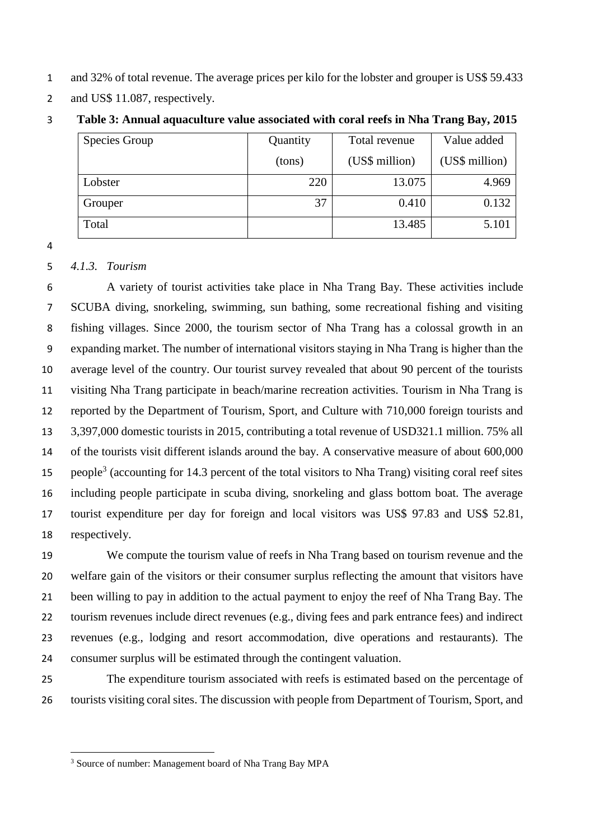- and 32% of total revenue. The average prices per kilo for the lobster and grouper is US\$ 59.433
- 2 and US\$ 11.087, respectively.

| Species Group | Quantity | Total revenue  | Value added    |  |
|---------------|----------|----------------|----------------|--|
|               | (tons)   | (US\$ million) | (US\$ million) |  |
| Lobster       | 220      | 13.075         | 4.969          |  |
| Grouper       | 37       | 0.410          | 0.132          |  |
| Total         |          | 13.485         | 5.101          |  |

**Table 3: Annual aquaculture value associated with coral reefs in Nha Trang Bay, 2015**

#### *4.1.3. Tourism*

 $\overline{\phantom{a}}$ 

 A variety of tourist activities take place in Nha Trang Bay. These activities include SCUBA diving, snorkeling, swimming, sun bathing, some recreational fishing and visiting fishing villages. Since 2000, the tourism sector of Nha Trang has a colossal growth in an expanding market. The number of international visitors staying in Nha Trang is higher than the average level of the country. Our tourist survey revealed that about 90 percent of the tourists visiting Nha Trang participate in beach/marine recreation activities. Tourism in Nha Trang is reported by the Department of Tourism, Sport, and Culture with 710,000 foreign tourists and 3,397,000 domestic tourists in 2015, contributing a total revenue of USD321.1 million. 75% all of the tourists visit different islands around the bay. A conservative measure of about 600,000 15 people<sup>3</sup> (accounting for 14.3 percent of the total visitors to Nha Trang) visiting coral reef sites including people participate in scuba diving, snorkeling and glass bottom boat. The average tourist expenditure per day for foreign and local visitors was US\$ 97.83 and US\$ 52.81, respectively.

 We compute the tourism value of reefs in Nha Trang based on tourism revenue and the welfare gain of the visitors or their consumer surplus reflecting the amount that visitors have been willing to pay in addition to the actual payment to enjoy the reef of Nha Trang Bay. The tourism revenues include direct revenues (e.g., diving fees and park entrance fees) and indirect revenues (e.g., lodging and resort accommodation, dive operations and restaurants). The consumer surplus will be estimated through the contingent valuation.

 The expenditure tourism associated with reefs is estimated based on the percentage of tourists visiting coral sites. The discussion with people from Department of Tourism, Sport, and

Source of number: Management board of Nha Trang Bay MPA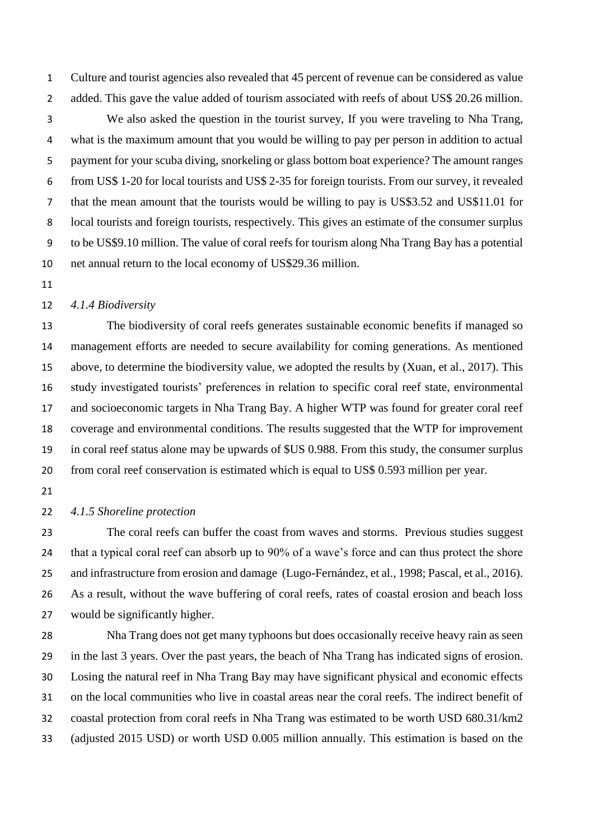Culture and tourist agencies also revealed that 45 percent of revenue can be considered as value 2 added. This gave the value added of tourism associated with reefs of about US\$ 20.26 million. We also asked the question in the tourist survey, If you were traveling to Nha Trang, what is the maximum amount that you would be willing to pay per person in addition to actual payment for your scuba diving, snorkeling or glass bottom boat experience? The amount ranges from US\$ 1-20 for local tourists and US\$ 2-35 for foreign tourists. From our survey, it revealed that the mean amount that the tourists would be willing to pay is US\$3.52 and US\$11.01 for local tourists and foreign tourists, respectively. This gives an estimate of the consumer surplus to be US\$9.10 million. The value of coral reefs for tourism along Nha Trang Bay has a potential net annual return to the local economy of US\$29.36 million.

#### *4.1.4 Biodiversity*

 The biodiversity of coral reefs generates sustainable economic benefits if managed so management efforts are needed to secure availability for coming generations. As mentioned above, to determine the biodiversity value, we adopted the results by (Xuan, et al., 2017). This study investigated tourists' preferences in relation to specific coral reef state, environmental and socioeconomic targets in Nha Trang Bay. A higher WTP was found for greater coral reef coverage and environmental conditions. The results suggested that the WTP for improvement in coral reef status alone may be upwards of \$US 0.988. From this study, the consumer surplus from coral reef conservation is estimated which is equal to US\$ 0.593 million per year.

# *4.1.5 Shoreline protection*

 The coral reefs can buffer the coast from waves and storms. Previous studies suggest that a typical coral reef can absorb up to 90% of a wave's force and can thus protect the shore and infrastructure from erosion and damage (Lugo-Fernández, et al., 1998; Pascal, et al., 2016). As a result, without the wave buffering of coral reefs, rates of coastal erosion and beach loss would be significantly higher.

 Nha Trang does not get many typhoons but does occasionally receive heavy rain as seen in the last 3 years. Over the past years, the beach of Nha Trang has indicated signs of erosion. Losing the natural reef in Nha Trang Bay may have significant physical and economic effects on the local communities who live in coastal areas near the coral reefs. The indirect benefit of coastal protection from coral reefs in Nha Trang was estimated to be worth USD 680.31/km2 (adjusted 2015 USD) or worth USD 0.005 million annually. This estimation is based on the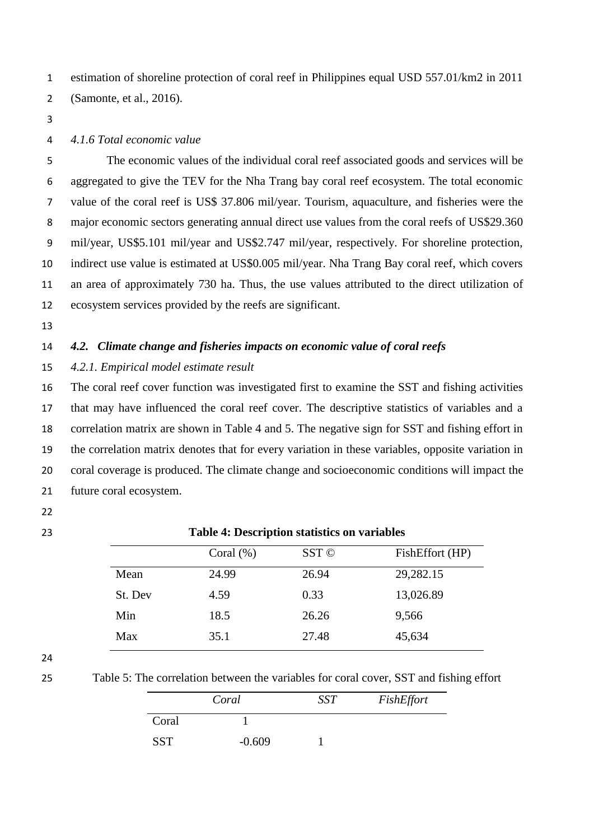estimation of shoreline protection of coral reef in Philippines equal USD 557.01/km2 in 2011 (Samonte, et al., 2016).

### *4.1.6 Total economic value*

 The economic values of the individual coral reef associated goods and services will be aggregated to give the TEV for the Nha Trang bay coral reef ecosystem. The total economic value of the coral reef is US\$ 37.806 mil/year. Tourism, aquaculture, and fisheries were the 8 major economic sectors generating annual direct use values from the coral reefs of US\$29.360 mil/year, US\$5.101 mil/year and US\$2.747 mil/year, respectively. For shoreline protection, indirect use value is estimated at US\$0.005 mil/year. Nha Trang Bay coral reef, which covers an area of approximately 730 ha. Thus, the use values attributed to the direct utilization of ecosystem services provided by the reefs are significant.

# *4.2. Climate change and fisheries impacts on economic value of coral reefs*

# *4.2.1. Empirical model estimate result*

 The coral reef cover function was investigated first to examine the SST and fishing activities that may have influenced the coral reef cover. The descriptive statistics of variables and a correlation matrix are shown in Table 4 and 5. The negative sign for SST and fishing effort in the correlation matrix denotes that for every variation in these variables, opposite variation in coral coverage is produced. The climate change and socioeconomic conditions will impact the future coral ecosystem.

- 
- **Table 4: Description statistics on variables**

|         | Coral $(\%)$ | SST © | FishEffort (HP) |
|---------|--------------|-------|-----------------|
| Mean    | 24.99        | 26.94 | 29,282.15       |
| St. Dev | 4.59         | 0.33  | 13,026.89       |
| Min     | 18.5         | 26.26 | 9,566           |
| Max     | 35.1         | 27.48 | 45,634          |

Table 5: The correlation between the variables for coral cover, SST and fishing effort

|            | Coral    | SST | FishEffort |
|------------|----------|-----|------------|
| Coral      |          |     |            |
| <b>SST</b> | $-0.609$ |     |            |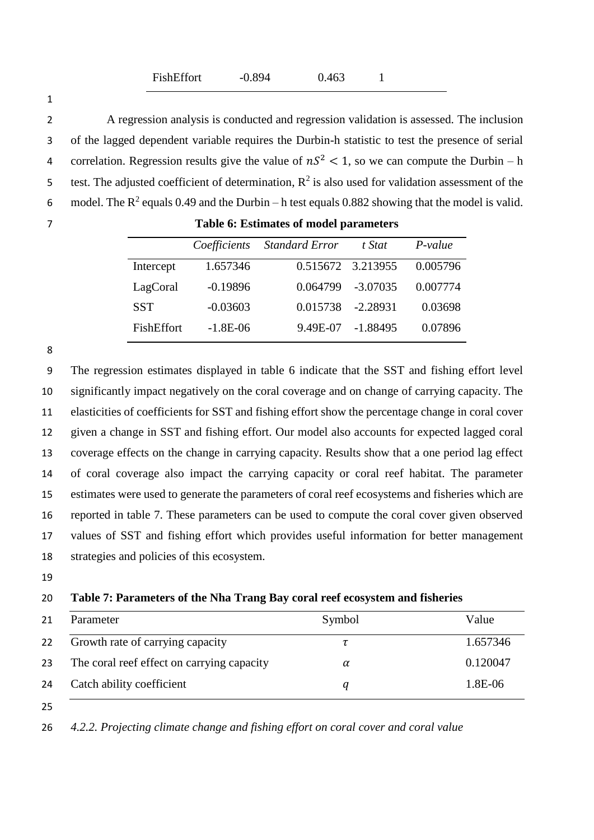| FishEffort<br>$-0.894$ | 0.463 |  |
|------------------------|-------|--|
|------------------------|-------|--|

 A regression analysis is conducted and regression validation is assessed. The inclusion of the lagged dependent variable requires the Durbin-h statistic to test the presence of serial 4 correlation. Regression results give the value of  $nS^2 < 1$ , so we can compute the Durbin – h 5 test. The adjusted coefficient of determination,  $R^2$  is also used for validation assessment of the 6 model. The  $R^2$  equals 0.49 and the Durbin – h test equals 0.882 showing that the model is valid.

|            | Coefficients | <b>Standard Error</b> | t Stat     | $P-value$ |
|------------|--------------|-----------------------|------------|-----------|
| Intercept  | 1.657346     | 0.515672 3.213955     |            | 0.005796  |
| LagCoral   | $-0.19896$   | 0.064799              | $-3.07035$ | 0.007774  |
| <b>SST</b> | $-0.03603$   | 0.015738              | $-2.28931$ | 0.03698   |
| FishEffort | $-1.8E-06$   | 9.49E-07              | $-1.88495$ | 0.07896   |

 The regression estimates displayed in table 6 indicate that the SST and fishing effort level significantly impact negatively on the coral coverage and on change of carrying capacity. The elasticities of coefficients for SST and fishing effort show the percentage change in coral cover given a change in SST and fishing effort. Our model also accounts for expected lagged coral coverage effects on the change in carrying capacity. Results show that a one period lag effect of coral coverage also impact the carrying capacity or coral reef habitat. The parameter estimates were used to generate the parameters of coral reef ecosystems and fisheries which are reported in table 7. These parameters can be used to compute the coral cover given observed values of SST and fishing effort which provides useful information for better management strategies and policies of this ecosystem.

# **Table 7: Parameters of the Nha Trang Bay coral reef ecosystem and fisheries**

| 21 | Parameter                                  | Symbol | Value    |
|----|--------------------------------------------|--------|----------|
| 22 | Growth rate of carrying capacity           |        | 1.657346 |
| 23 | The coral reef effect on carrying capacity | α      | 0.120047 |
| 24 | Catch ability coefficient                  | а      | 1.8E-06  |

*4.2.2. Projecting climate change and fishing effort on coral cover and coral value*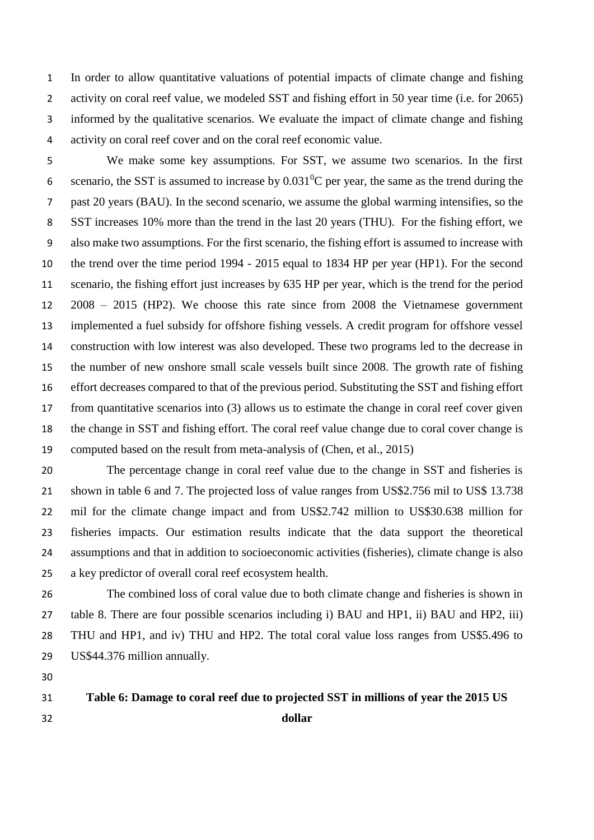In order to allow quantitative valuations of potential impacts of climate change and fishing activity on coral reef value, we modeled SST and fishing effort in 50 year time (i.e. for 2065) informed by the qualitative scenarios. We evaluate the impact of climate change and fishing activity on coral reef cover and on the coral reef economic value.

 We make some key assumptions. For SST, we assume two scenarios. In the first 6 scenario, the SST is assumed to increase by  $0.031^0$ C per year, the same as the trend during the past 20 years (BAU). In the second scenario, we assume the global warming intensifies, so the SST increases 10% more than the trend in the last 20 years (THU). For the fishing effort, we also make two assumptions. For the first scenario, the fishing effort is assumed to increase with the trend over the time period 1994 - 2015 equal to 1834 HP per year (HP1). For the second scenario, the fishing effort just increases by 635 HP per year, which is the trend for the period 2008 – 2015 (HP2). We choose this rate since from 2008 the Vietnamese government implemented a fuel subsidy for offshore fishing vessels. A credit program for offshore vessel construction with low interest was also developed. These two programs led to the decrease in the number of new onshore small scale vessels built since 2008. The growth rate of fishing effort decreases compared to that of the previous period. Substituting the SST and fishing effort from quantitative scenarios into (3) allows us to estimate the change in coral reef cover given the change in SST and fishing effort. The coral reef value change due to coral cover change is computed based on the result from meta-analysis of (Chen, et al., 2015)

 The percentage change in coral reef value due to the change in SST and fisheries is shown in table 6 and 7. The projected loss of value ranges from US\$2.756 mil to US\$ 13.738 mil for the climate change impact and from US\$2.742 million to US\$30.638 million for fisheries impacts. Our estimation results indicate that the data support the theoretical assumptions and that in addition to socioeconomic activities (fisheries), climate change is also a key predictor of overall coral reef ecosystem health.

 The combined loss of coral value due to both climate change and fisheries is shown in table 8. There are four possible scenarios including i) BAU and HP1, ii) BAU and HP2, iii) THU and HP1, and iv) THU and HP2. The total coral value loss ranges from US\$5.496 to US\$44.376 million annually.

 **Table 6: Damage to coral reef due to projected SST in millions of year the 2015 US dollar**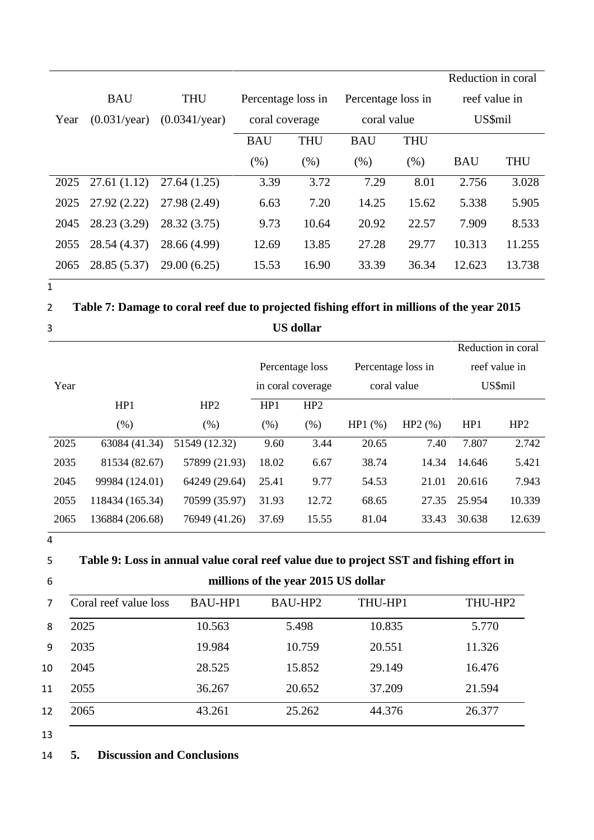|      |                       |                        |                    |            |                    |            | Reduction in coral |            |
|------|-----------------------|------------------------|--------------------|------------|--------------------|------------|--------------------|------------|
|      | <b>BAU</b>            | <b>THU</b>             | Percentage loss in |            | Percentage loss in |            | reef value in      |            |
| Year | $(0.031/\text{year})$ | $(0.0341/\text{year})$ | coral coverage     |            | coral value        |            | US\$mil            |            |
|      |                       |                        | <b>BAU</b>         | <b>THU</b> | <b>BAU</b>         | <b>THU</b> |                    |            |
|      |                       |                        | (% )               | (% )       | (% )               | (% )       | <b>BAU</b>         | <b>THU</b> |
| 2025 | 27.61(1.12)           | 27.64(1.25)            | 3.39               | 3.72       | 7.29               | 8.01       | 2.756              | 3.028      |
| 2025 | 27.92(2.22)           | 27.98 (2.49)           | 6.63               | 7.20       | 14.25              | 15.62      | 5.338              | 5.905      |
| 2045 | 28.23 (3.29)          | 28.32 (3.75)           | 9.73               | 10.64      | 20.92              | 22.57      | 7.909              | 8.533      |
| 2055 | 28.54 (4.37)          | 28.66 (4.99)           | 12.69              | 13.85      | 27.28              | 29.77      | 10.313             | 11.255     |
| 2065 | 28.85 (5.37)          | 29.00 (6.25)           | 15.53              | 16.90      | 33.39              | 36.34      | 12.623             | 13.738     |

2 **Table 7: Damage to coral reef due to projected fishing effort in millions of the year 2015**  3 **US dollar**

|      |                 |                 |                   |                 |                    |        |         | Reduction in coral |
|------|-----------------|-----------------|-------------------|-----------------|--------------------|--------|---------|--------------------|
|      |                 |                 |                   | Percentage loss | Percentage loss in |        |         | reef value in      |
| Year |                 |                 | in coral coverage |                 | coral value        |        | US\$mil |                    |
|      | HP1             | HP <sub>2</sub> | HP1               | HP <sub>2</sub> |                    |        |         |                    |
|      | (% )            | (% )            | (% )              | (% )            | HP1(%)             | HP2(%) | HP1     | HP <sub>2</sub>    |
| 2025 | 63084 (41.34)   | 51549 (12.32)   | 9.60              | 3.44            | 20.65              | 7.40   | 7.807   | 2.742              |
| 2035 | 81534 (82.67)   | 57899 (21.93)   | 18.02             | 6.67            | 38.74              | 14.34  | 14.646  | 5.421              |
| 2045 | 99984 (124.01)  | 64249 (29.64)   | 25.41             | 9.77            | 54.53              | 21.01  | 20.616  | 7.943              |
| 2055 | 118434 (165.34) | 70599 (35.97)   | 31.93             | 12.72           | 68.65              | 27.35  | 25.954  | 10.339             |
| 2065 | 136884 (206.68) | 76949 (41.26)   | 37.69             | 15.55           | 81.04              | 33.43  | 30.638  | 12.639             |

4

5 **Table 9: Loss in annual value coral reef value due to project SST and fishing effort in** 

|  | millions of the year 2015 US dollar |  |
|--|-------------------------------------|--|
|--|-------------------------------------|--|

|    | Coral reef value loss | <b>BAU-HP1</b> | BAU-HP2 | THU-HP1 | THU-HP2 |
|----|-----------------------|----------------|---------|---------|---------|
| 8  | 2025                  | 10.563         | 5.498   | 10.835  | 5.770   |
| 9  | 2035                  | 19.984         | 10.759  | 20.551  | 11.326  |
| 10 | 2045                  | 28.525         | 15.852  | 29.149  | 16.476  |
| 11 | 2055                  | 36.267         | 20.652  | 37.209  | 21.594  |
| 12 | 2065                  | 43.261         | 25.262  | 44.376  | 26.377  |

13

# 14 **5. Discussion and Conclusions**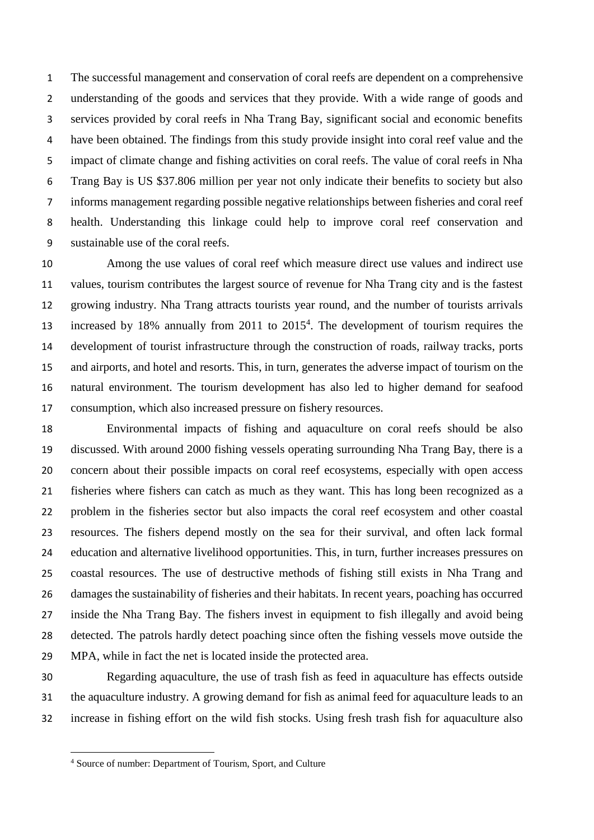The successful management and conservation of coral reefs are dependent on a comprehensive understanding of the goods and services that they provide. With a wide range of goods and services provided by coral reefs in Nha Trang Bay, significant social and economic benefits have been obtained. The findings from this study provide insight into coral reef value and the impact of climate change and fishing activities on coral reefs. The value of coral reefs in Nha Trang Bay is US \$37.806 million per year not only indicate their benefits to society but also informs management regarding possible negative relationships between fisheries and coral reef health. Understanding this linkage could help to improve coral reef conservation and sustainable use of the coral reefs.

 Among the use values of coral reef which measure direct use values and indirect use values, tourism contributes the largest source of revenue for Nha Trang city and is the fastest growing industry. Nha Trang attracts tourists year round, and the number of tourists arrivals 13 increased by 18% annually from 2011 to 2015<sup>4</sup>. The development of tourism requires the development of tourist infrastructure through the construction of roads, railway tracks, ports and airports, and hotel and resorts. This, in turn, generates the adverse impact of tourism on the natural environment. The tourism development has also led to higher demand for seafood consumption, which also increased pressure on fishery resources.

 Environmental impacts of fishing and aquaculture on coral reefs should be also discussed. With around 2000 fishing vessels operating surrounding Nha Trang Bay, there is a concern about their possible impacts on coral reef ecosystems, especially with open access fisheries where fishers can catch as much as they want. This has long been recognized as a problem in the fisheries sector but also impacts the coral reef ecosystem and other coastal resources. The fishers depend mostly on the sea for their survival, and often lack formal education and alternative livelihood opportunities. This, in turn, further increases pressures on coastal resources. The use of destructive methods of fishing still exists in Nha Trang and damages the sustainability of fisheries and their habitats. In recent years, poaching has occurred inside the Nha Trang Bay. The fishers invest in equipment to fish illegally and avoid being detected. The patrols hardly detect poaching since often the fishing vessels move outside the MPA, while in fact the net is located inside the protected area.

 Regarding aquaculture, the use of trash fish as feed in aquaculture has effects outside the aquaculture industry. A growing demand for fish as animal feed for aquaculture leads to an increase in fishing effort on the wild fish stocks. Using fresh trash fish for aquaculture also

 $\overline{\phantom{a}}$ 

Source of number: Department of Tourism, Sport, and Culture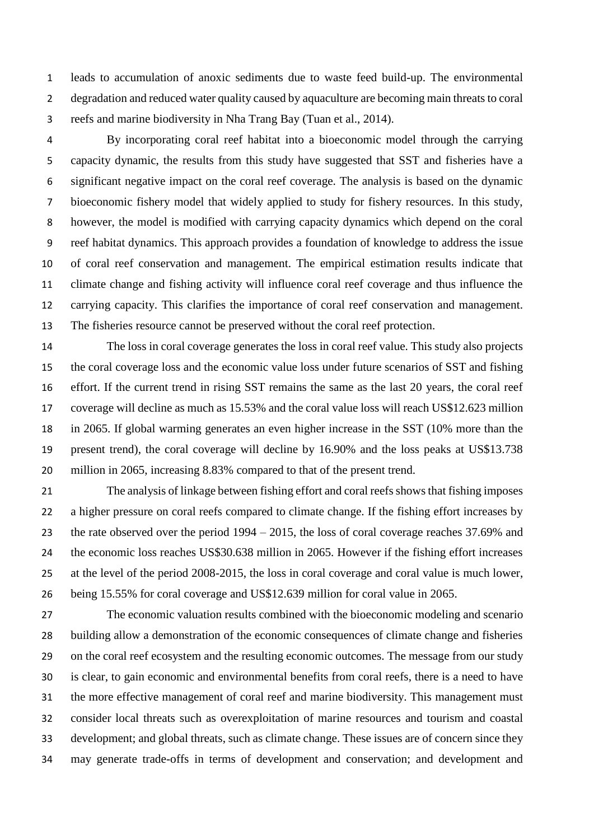leads to accumulation of anoxic sediments due to waste feed build-up. The environmental degradation and reduced water quality caused by aquaculture are becoming main threats to coral reefs and marine biodiversity in Nha Trang Bay (Tuan et al., 2014).

 By incorporating coral reef habitat into a bioeconomic model through the carrying capacity dynamic, the results from this study have suggested that SST and fisheries have a significant negative impact on the coral reef coverage. The analysis is based on the dynamic bioeconomic fishery model that widely applied to study for fishery resources. In this study, however, the model is modified with carrying capacity dynamics which depend on the coral reef habitat dynamics. This approach provides a foundation of knowledge to address the issue of coral reef conservation and management. The empirical estimation results indicate that climate change and fishing activity will influence coral reef coverage and thus influence the carrying capacity. This clarifies the importance of coral reef conservation and management. The fisheries resource cannot be preserved without the coral reef protection.

 The loss in coral coverage generates the loss in coral reef value. This study also projects the coral coverage loss and the economic value loss under future scenarios of SST and fishing effort. If the current trend in rising SST remains the same as the last 20 years, the coral reef coverage will decline as much as 15.53% and the coral value loss will reach US\$12.623 million in 2065. If global warming generates an even higher increase in the SST (10% more than the present trend), the coral coverage will decline by 16.90% and the loss peaks at US\$13.738 million in 2065, increasing 8.83% compared to that of the present trend.

 The analysis of linkage between fishing effort and coral reefs shows that fishing imposes a higher pressure on coral reefs compared to climate change. If the fishing effort increases by the rate observed over the period 1994 – 2015, the loss of coral coverage reaches 37.69% and the economic loss reaches US\$30.638 million in 2065. However if the fishing effort increases at the level of the period 2008-2015, the loss in coral coverage and coral value is much lower, being 15.55% for coral coverage and US\$12.639 million for coral value in 2065.

 The economic valuation results combined with the bioeconomic modeling and scenario building allow a demonstration of the economic consequences of climate change and fisheries on the coral reef ecosystem and the resulting economic outcomes. The message from our study is clear, to gain economic and environmental benefits from coral reefs, there is a need to have the more effective management of coral reef and marine biodiversity. This management must consider local threats such as overexploitation of marine resources and tourism and coastal development; and global threats, such as climate change. These issues are of concern since they may generate trade-offs in terms of development and conservation; and development and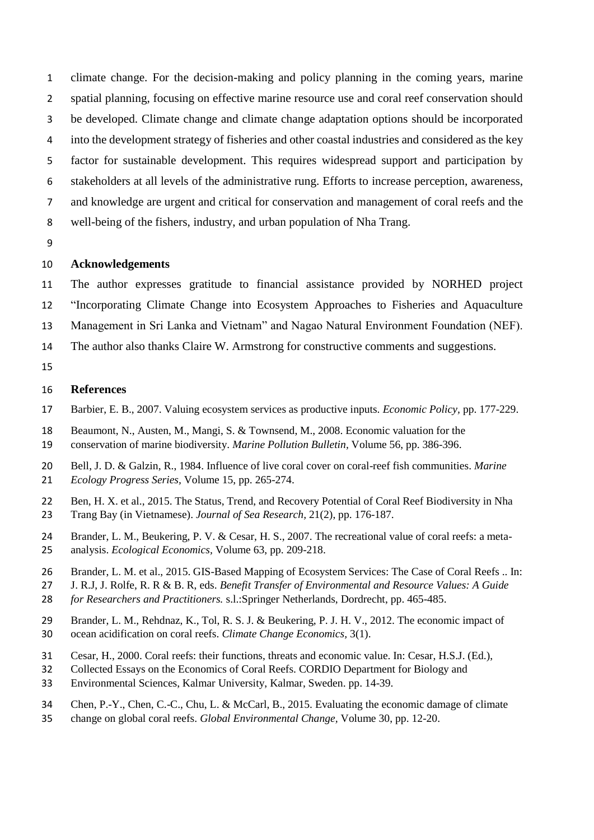climate change. For the decision-making and policy planning in the coming years, marine spatial planning, focusing on effective marine resource use and coral reef conservation should be developed. Climate change and climate change adaptation options should be incorporated into the development strategy of fisheries and other coastal industries and considered as the key factor for sustainable development. This requires widespread support and participation by stakeholders at all levels of the administrative rung. Efforts to increase perception, awareness, and knowledge are urgent and critical for conservation and management of coral reefs and the well-being of the fishers, industry, and urban population of Nha Trang.

### **Acknowledgements**

The author expresses gratitude to financial assistance provided by NORHED project

"Incorporating Climate Change into Ecosystem Approaches to Fisheries and Aquaculture

Management in Sri Lanka and Vietnam" and Nagao Natural Environment Foundation (NEF).

The author also thanks Claire W. Armstrong for constructive comments and suggestions.

## **References**

- Barbier, E. B., 2007. Valuing ecosystem services as productive inputs. *Economic Policy,* pp. 177-229.
- Beaumont, N., Austen, M., Mangi, S. & Townsend, M., 2008. Economic valuation for the
- conservation of marine biodiversity. *Marine Pollution Bulletin,* Volume 56, pp. 386-396.
- Bell, J. D. & Galzin, R., 1984. Influence of live coral cover on coral-reef fish communities. *Marine Ecology Progress Series,* Volume 15, pp. 265-274.
- Ben, H. X. et al., 2015. The Status, Trend, and Recovery Potential of Coral Reef Biodiversity in Nha Trang Bay (in Vietnamese). *Journal of Sea Research,* 21(2), pp. 176-187.
- Brander, L. M., Beukering, P. V. & Cesar, H. S., 2007. The recreational value of coral reefs: a meta-analysis. *Ecological Economics,* Volume 63, pp. 209-218.
- Brander, L. M. et al., 2015. GIS-Based Mapping of Ecosystem Services: The Case of Coral Reefs .. In:
- J. R.J, J. Rolfe, R. R & B. R, eds. *Benefit Transfer of Environmental and Resource Values: A Guide*
- *for Researchers and Practitioners.* s.l.:Springer Netherlands, Dordrecht, pp. 465-485.
- Brander, L. M., Rehdnaz, K., Tol, R. S. J. & Beukering, P. J. H. V., 2012. The economic impact of ocean acidification on coral reefs. *Climate Change Economics,* 3(1).
- Cesar, H., 2000. Coral reefs: their functions, threats and economic value. In: Cesar, H.S.J. (Ed.),
- Collected Essays on the Economics of Coral Reefs. CORDIO Department for Biology and
- Environmental Sciences, Kalmar University, Kalmar, Sweden. pp. 14-39.
- Chen, P.-Y., Chen, C.-C., Chu, L. & McCarl, B., 2015. Evaluating the economic damage of climate
- change on global coral reefs. *Global Environmental Change,* Volume 30, pp. 12-20.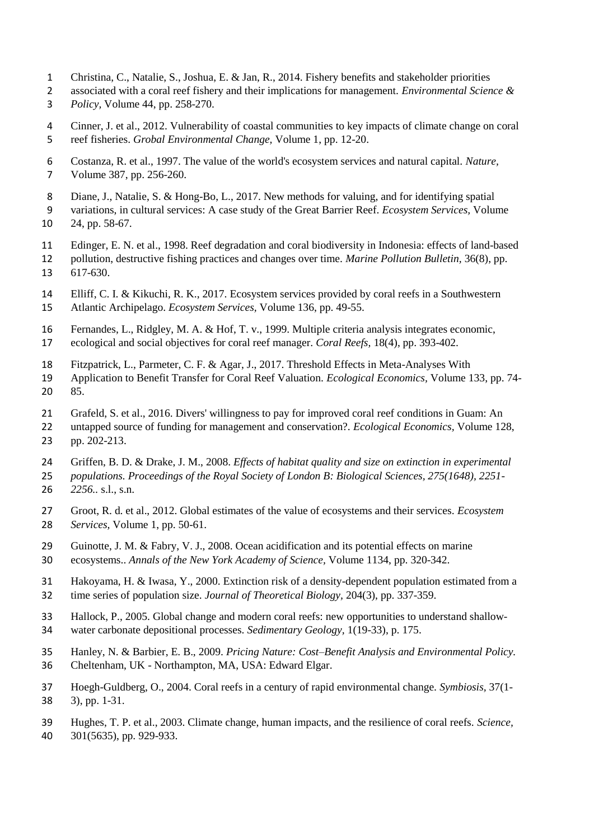- Christina, C., Natalie, S., Joshua, E. & Jan, R., 2014. Fishery benefits and stakeholder priorities
- associated with a coral reef fishery and their implications for management. *Environmental Science & Policy,* Volume 44, pp. 258-270.
- Cinner, J. et al., 2012. Vulnerability of coastal communities to key impacts of climate change on coral reef fisheries. *Grobal Environmental Change,* Volume 1, pp. 12-20.
- Costanza, R. et al., 1997. The value of the world's ecosystem services and natural capital. *Nature,*  Volume 387, pp. 256-260.
- Diane, J., Natalie, S. & Hong-Bo, L., 2017. New methods for valuing, and for identifying spatial
- variations, in cultural services: A case study of the Great Barrier Reef. *Ecosystem Services,* Volume
- 24, pp. 58-67.
- Edinger, E. N. et al., 1998. Reef degradation and coral biodiversity in Indonesia: effects of land-based
- pollution, destructive fishing practices and changes over time. *Marine Pollution Bulletin,* 36(8), pp. 617-630.
- Elliff, C. I. & Kikuchi, R. K., 2017. Ecosystem services provided by coral reefs in a Southwestern
- Atlantic Archipelago. *Ecosystem Services,* Volume 136, pp. 49-55.
- Fernandes, L., Ridgley, M. A. & Hof, T. v., 1999. Multiple criteria analysis integrates economic,
- ecological and social objectives for coral reef manager. *Coral Reefs,* 18(4), pp. 393-402.
- Fitzpatrick, L., Parmeter, C. F. & Agar, J., 2017. Threshold Effects in Meta-Analyses With
- Application to Benefit Transfer for Coral Reef Valuation. *Ecological Economics,* Volume 133, pp. 74- 85.
- Grafeld, S. et al., 2016. Divers' willingness to pay for improved coral reef conditions in Guam: An
- untapped source of funding for management and conservation?. *Ecological Economics,* Volume 128, pp. 202-213.
- Griffen, B. D. & Drake, J. M., 2008. *Effects of habitat quality and size on extinction in experimental populations. Proceedings of the Royal Society of London B: Biological Sciences, 275(1648), 2251- 2256..* s.l., s.n.
- Groot, R. d. et al., 2012. Global estimates of the value of ecosystems and their services. *Ecosystem Services,* Volume 1, pp. 50-61.
- Guinotte, J. M. & Fabry, V. J., 2008. Ocean acidification and its potential effects on marine ecosystems.. *Annals of the New York Academy of Science,* Volume 1134, pp. 320-342.
- Hakoyama, H. & Iwasa, Y., 2000. Extinction risk of a density-dependent population estimated from a time series of population size. *Journal of Theoretical Biology,* 204(3), pp. 337-359.
- Hallock, P., 2005. Global change and modern coral reefs: new opportunities to understand shallow-water carbonate depositional processes. *Sedimentary Geology,* 1(19-33), p. 175.
- Hanley, N. & Barbier, E. B., 2009. *Pricing Nature: Cost–Benefit Analysis and Environmental Policy.*  Cheltenham, UK - Northampton, MA, USA: Edward Elgar.
- Hoegh-Guldberg, O., 2004. Coral reefs in a century of rapid environmental change. *Symbiosis,* 37(1- 3), pp. 1-31.
- Hughes, T. P. et al., 2003. Climate change, human impacts, and the resilience of coral reefs. *Science,*  301(5635), pp. 929-933.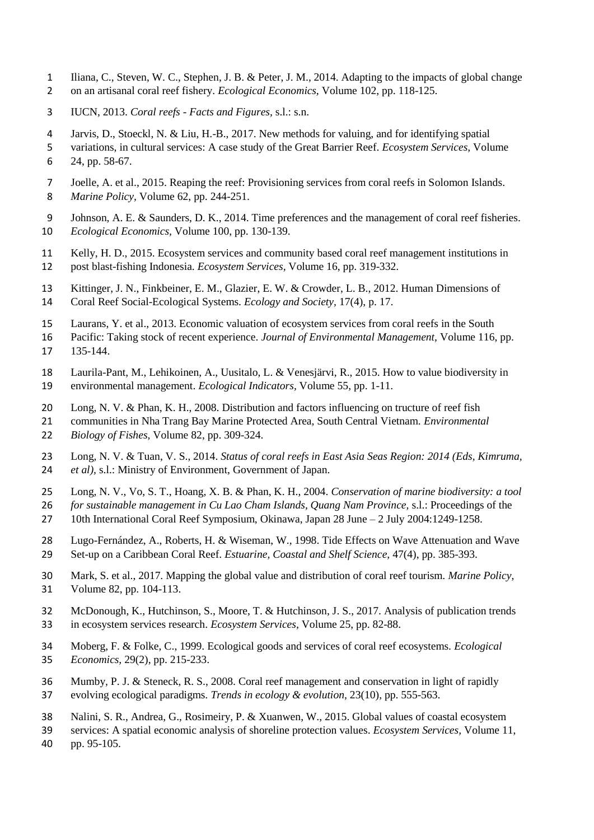- Iliana, C., Steven, W. C., Stephen, J. B. & Peter, J. M., 2014. Adapting to the impacts of global change on an artisanal coral reef fishery. *Ecological Economics,* Volume 102, pp. 118-125.
- IUCN, 2013. *Coral reefs - Facts and Figures,* s.l.: s.n.
- Jarvis, D., Stoeckl, N. & Liu, H.-B., 2017. New methods for valuing, and for identifying spatial
- variations, in cultural services: A case study of the Great Barrier Reef. *Ecosystem Services,* Volume 24, pp. 58-67.
- Joelle, A. et al., 2015. Reaping the reef: Provisioning services from coral reefs in Solomon Islands. *Marine Policy,* Volume 62, pp. 244-251.
- Johnson, A. E. & Saunders, D. K., 2014. Time preferences and the management of coral reef fisheries. *Ecological Economics,* Volume 100, pp. 130-139.
- Kelly, H. D., 2015. Ecosystem services and community based coral reef management institutions in post blast-fishing Indonesia. *Ecosystem Services,* Volume 16, pp. 319-332.
- Kittinger, J. N., Finkbeiner, E. M., Glazier, E. W. & Crowder, L. B., 2012. Human Dimensions of
- Coral Reef Social-Ecological Systems. *Ecology and Society,* 17(4), p. 17.
- Laurans, Y. et al., 2013. Economic valuation of ecosystem services from coral reefs in the South
- Pacific: Taking stock of recent experience. *Journal of Environmental Management,* Volume 116, pp.
- 135-144.
- Laurila-Pant, M., Lehikoinen, A., Uusitalo, L. & Venesjärvi, R., 2015. How to value biodiversity in environmental management. *Ecological Indicators,* Volume 55, pp. 1-11.
- Long, N. V. & Phan, K. H., 2008. Distribution and factors influencing on tructure of reef fish
- communities in Nha Trang Bay Marine Protected Area, South Central Vietnam. *Environmental*
- *Biology of Fishes,* Volume 82, pp. 309-324.
- Long, N. V. & Tuan, V. S., 2014. *Status of coral reefs in East Asia Seas Region: 2014 (Eds, Kimruma, et al),* s.l.: Ministry of Environment, Government of Japan.
- Long, N. V., Vo, S. T., Hoang, X. B. & Phan, K. H., 2004. *Conservation of marine biodiversity: a tool*
- *for sustainable management in Cu Lao Cham Islands, Quang Nam Province,* s.l.: Proceedings of the
- 10th International Coral Reef Symposium, Okinawa, Japan 28 June 2 July 2004:1249-1258.
- Lugo-Fernández, A., Roberts, H. & Wiseman, W., 1998. Tide Effects on Wave Attenuation and Wave
- Set-up on a Caribbean Coral Reef. *Estuarine, Coastal and Shelf Science,* 47(4), pp. 385-393.
- Mark, S. et al., 2017. Mapping the global value and distribution of coral reef tourism. *Marine Policy,*  Volume 82, pp. 104-113.
- McDonough, K., Hutchinson, S., Moore, T. & Hutchinson, J. S., 2017. Analysis of publication trends in ecosystem services research. *Ecosystem Services,* Volume 25, pp. 82-88.
- Moberg, F. & Folke, C., 1999. Ecological goods and services of coral reef ecosystems. *Ecological Economics,* 29(2), pp. 215-233.
- Mumby, P. J. & Steneck, R. S., 2008. Coral reef management and conservation in light of rapidly
- evolving ecological paradigms. *Trends in ecology & evolution,* 23(10), pp. 555-563.
- Nalini, S. R., Andrea, G., Rosimeiry, P. & Xuanwen, W., 2015. Global values of coastal ecosystem
- services: A spatial economic analysis of shoreline protection values. *Ecosystem Services,* Volume 11,
- pp. 95-105.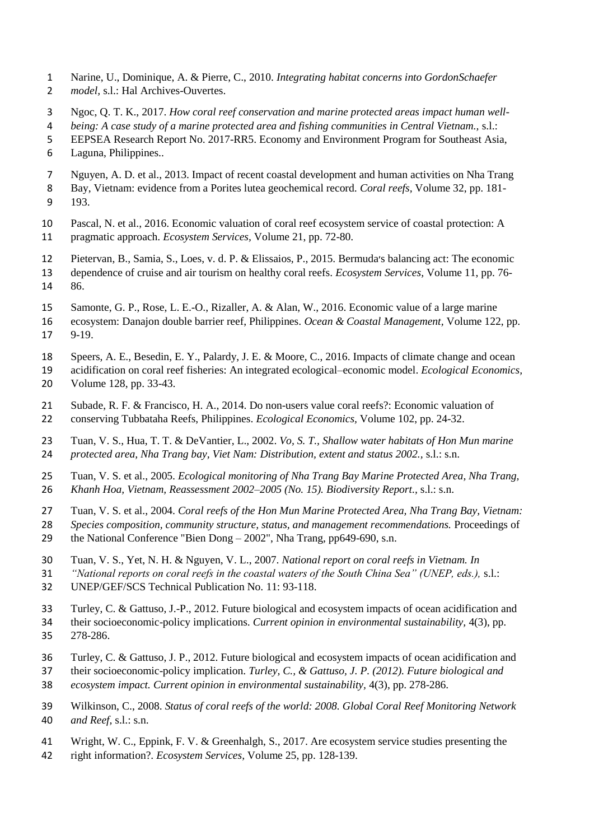- Narine, U., Dominique, A. & Pierre, C., 2010. *Integrating habitat concerns into GordonSchaefer model,* s.l.: Hal Archives-Ouvertes.
- Ngoc, Q. T. K., 2017. *How coral reef conservation and marine protected areas impact human well-*
- *being: A case study of a marine protected area and fishing communities in Central Vietnam.,* s.l.:
- EEPSEA Research Report No. 2017-RR5. Economy and Environment Program for Southeast Asia,
- Laguna, Philippines..
- Nguyen, A. D. et al., 2013. Impact of recent coastal development and human activities on Nha Trang
- Bay, Vietnam: evidence from a Porites lutea geochemical record. *Coral reefs,* Volume 32, pp. 181- 193.
- Pascal, N. et al., 2016. Economic valuation of coral reef ecosystem service of coastal protection: A pragmatic approach. *Ecosystem Services,* Volume 21, pp. 72-80.
- Pietervan, B., Samia, S., Loes, v. d. P. & Elissaios, P., 2015. Bermuda׳s balancing act: The economic
- dependence of cruise and air tourism on healthy coral reefs. *Ecosystem Services,* Volume 11, pp. 76- 86.
- Samonte, G. P., Rose, L. E.-O., Rizaller, A. & Alan, W., 2016. Economic value of a large marine
- ecosystem: Danajon double barrier reef, Philippines. *Ocean & Coastal Management,* Volume 122, pp.
- 9-19.
- Speers, A. E., Besedin, E. Y., Palardy, J. E. & Moore, C., 2016. Impacts of climate change and ocean
- acidification on coral reef fisheries: An integrated ecological–economic model. *Ecological Economics,*  Volume 128, pp. 33-43.
- Subade, R. F. & Francisco, H. A., 2014. Do non-users value coral reefs?: Economic valuation of conserving Tubbataha Reefs, Philippines. *Ecological Economics,* Volume 102, pp. 24-32.
- Tuan, V. S., Hua, T. T. & DeVantier, L., 2002. *Vo, S. T., Shallow water habitats of Hon Mun marine protected area, Nha Trang bay, Viet Nam: Distribution, extent and status 2002.,* s.l.: s.n.
- Tuan, V. S. et al., 2005. *Ecological monitoring of Nha Trang Bay Marine Protected Area, Nha Trang, Khanh Hoa, Vietnam, Reassessment 2002–2005 (No. 15). Biodiversity Report.,* s.l.: s.n.
- Tuan, V. S. et al., 2004. *Coral reefs of the Hon Mun Marine Protected Area, Nha Trang Bay, Vietnam:*
- *Species composition, community structure, status, and management recommendations.* Proceedings of
- the National Conference "Bien Dong 2002", Nha Trang, pp649-690, s.n.
- Tuan, V. S., Yet, N. H. & Nguyen, V. L., 2007. *National report on coral reefs in Vietnam. In*
- *"National reports on coral reefs in the coastal waters of the South China Sea" (UNEP, eds.),* s.l.:
- UNEP/GEF/SCS Technical Publication No. 11: 93-118.
- Turley, C. & Gattuso, J.-P., 2012. Future biological and ecosystem impacts of ocean acidification and
- their socioeconomic-policy implications. *Current opinion in environmental sustainability,* 4(3), pp. 278-286.
- Turley, C. & Gattuso, J. P., 2012. Future biological and ecosystem impacts of ocean acidification and
- their socioeconomic-policy implication. *Turley, C., & Gattuso, J. P. (2012). Future biological and*
- *ecosystem impact. Current opinion in environmental sustainability,* 4(3), pp. 278-286.
- Wilkinson, C., 2008. *Status of coral reefs of the world: 2008. Global Coral Reef Monitoring Network and Reef,* s.l.: s.n.
- Wright, W. C., Eppink, F. V. & Greenhalgh, S., 2017. Are ecosystem service studies presenting the
- right information?. *Ecosystem Services,* Volume 25, pp. 128-139.